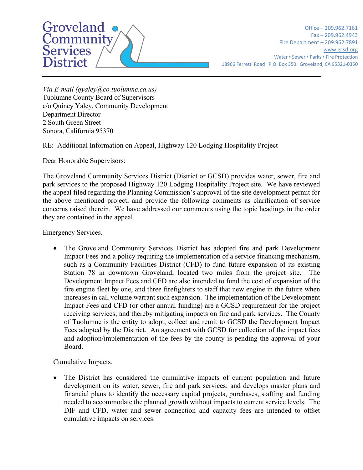

Office – 209.962.7161 Fax – 209.962.4943 Fire Department – 209.962.7891 [www.gcsd.org](http://www.gcsd.org/) Water • Sewer • Parks • Fire Protection 18966 Ferretti Road P.O. Box 350 Groveland, CA 95321-0350

*Via E-mail (qyaley@co.tuolumne.ca.us)* Tuolumne County Board of Supervisors c/o Quincy Yaley, Community Development Department Director 2 South Green Street Sonora, California 95370

RE: Additional Information on Appeal, Highway 120 Lodging Hospitality Project

Dear Honorable Supervisors:

The Groveland Community Services District (District or GCSD) provides water, sewer, fire and park services to the proposed Highway 120 Lodging Hospitality Project site. We have reviewed the appeal filed regarding the Planning Commission's approval of the site development permit for the above mentioned project, and provide the following comments as clarification of service concerns raised therein. We have addressed our comments using the topic headings in the order they are contained in the appeal.

Emergency Services.

• The Groveland Community Services District has adopted fire and park Development Impact Fees and a policy requiring the implementation of a service financing mechanism, such as a Community Facilities District (CFD) to fund future expansion of its existing Station 78 in downtown Groveland, located two miles from the project site. The Development Impact Fees and CFD are also intended to fund the cost of expansion of the fire engine fleet by one, and three firefighters to staff that new engine in the future when increases in call volume warrant such expansion. The implementation of the Development Impact Fees and CFD (or other annual funding) are a GCSD requirement for the project receiving services; and thereby mitigating impacts on fire and park services. The County of Tuolumne is the entity to adopt, collect and remit to GCSD the Development Impact Fees adopted by the District. An agreement with GCSD for collection of the impact fees and adoption/implementation of the fees by the county is pending the approval of your Board.

Cumulative Impacts.

• The District has considered the cumulative impacts of current population and future development on its water, sewer, fire and park services; and develops master plans and financial plans to identify the necessary capital projects, purchases, staffing and funding needed to accommodate the planned growth without impacts to current service levels. The DIF and CFD, water and sewer connection and capacity fees are intended to offset cumulative impacts on services.